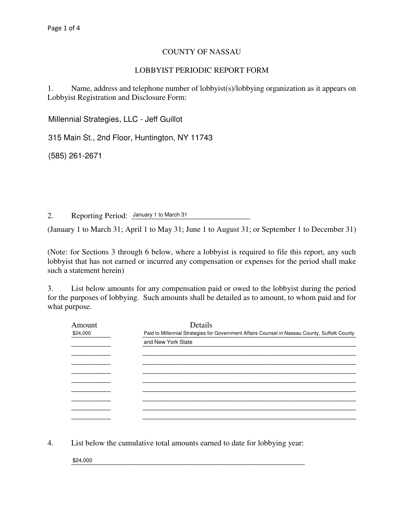## COUNTY OF NASSAU

## LOBBYIST PERIODIC REPORT FORM

1. Name, address and telephone number of lobbyist(s)/lobbying organization as it appears on Lobbyist Registration and Disclosure Form:

Millennial Strategies, LLC - Jeff Guillot

315 Main St., 2nd Floor, Huntington, NY 11743

\_\_\_\_\_\_\_\_\_\_\_\_\_\_\_\_\_\_\_\_\_\_\_\_\_\_\_\_\_\_\_\_\_\_\_\_\_\_\_\_\_\_\_\_\_\_\_\_\_\_\_\_\_\_\_\_\_\_\_\_\_\_\_\_\_\_\_\_\_\_\_\_\_\_\_\_\_\_ (585) 261-2671

2. Reporting Period: January 1 to March 31

(January 1 to March 31; April 1 to May 31; June 1 to August 31; or September 1 to December 31)

(Note: for Sections 3 through 6 below, where a lobbyist is required to file this report, any such lobbyist that has not earned or incurred any compensation or expenses for the period shall make such a statement herein)

3. List below amounts for any compensation paid or owed to the lobbyist during the period for the purposes of lobbying. Such amounts shall be detailed as to amount, to whom paid and for what purpose.

| Amount   | Details                                                                                       |  |  |
|----------|-----------------------------------------------------------------------------------------------|--|--|
| \$24,000 | Paid to Millennial Strategies for Government Affairs Counsel in Nassau County, Suffolk County |  |  |
|          | and New York State                                                                            |  |  |
|          |                                                                                               |  |  |
|          |                                                                                               |  |  |
|          |                                                                                               |  |  |
|          |                                                                                               |  |  |
|          |                                                                                               |  |  |
|          |                                                                                               |  |  |
|          |                                                                                               |  |  |
|          |                                                                                               |  |  |

4. List below the cumulative total amounts earned to date for lobbying year:

 $\frac{$24,000}{}$ \$24,000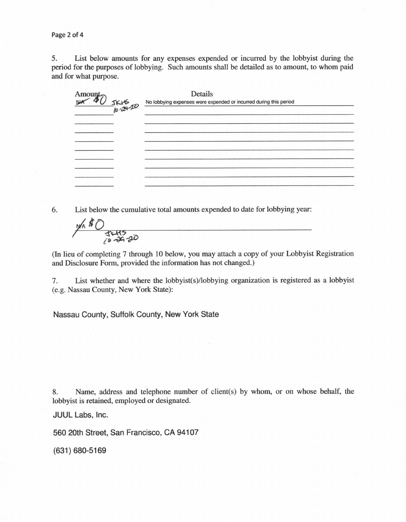Page 2 of 4

5. List below amounts for any expenses expended or incurred by the lobbyist during the period for the purposes of lobbying. Such amounts shall be detailed as to amount, to whom paid and for what purpose.

| Amount | Details<br>$\frac{1}{2}$<br>$\frac{1}{2}$<br>$\frac{1}{2}$<br>$\frac{1}{2}$<br>$\frac{1}{2}$<br>$\frac{1}{2}$<br>$\frac{1}{2}$<br>$\frac{1}{2}$<br>$\frac{1}{2}$<br>$\frac{1}{2}$<br>$\frac{1}{2}$<br>$\frac{1}{2}$<br>$\frac{1}{2}$<br>$\frac{1}{2}$<br>$\frac{1}{2}$<br>$\frac{1}{2}$<br>$\frac{1}{2}$<br>$\frac{1}{2}$<br>$\frac{1}{2}$<br>$\frac{1}{2}$<br>$\frac{1}{2}$<br>$\frac{1}{2}$<br> |
|--------|---------------------------------------------------------------------------------------------------------------------------------------------------------------------------------------------------------------------------------------------------------------------------------------------------------------------------------------------------------------------------------------------------|
|        |                                                                                                                                                                                                                                                                                                                                                                                                   |
|        |                                                                                                                                                                                                                                                                                                                                                                                                   |
|        |                                                                                                                                                                                                                                                                                                                                                                                                   |
|        |                                                                                                                                                                                                                                                                                                                                                                                                   |
|        |                                                                                                                                                                                                                                                                                                                                                                                                   |
|        |                                                                                                                                                                                                                                                                                                                                                                                                   |
|        |                                                                                                                                                                                                                                                                                                                                                                                                   |

6. List below the cumulative total amounts expended to date for lobbying year:

th<br>A  $\frac{1245}{1800}$ 

(In lieu of completing 7 through l0 below, you may attach a copy of your Lobbyist Registration and Disclosure Form, provided the information has not changed.)

7. List whether and where the lobbyist(s/lobbying organization is registered as a lobbyist (e.g. Nassau County, New York State):

Nassau County, Suffolk County, New York State

8. Name, address and telephone number of client(s) by whom, or on whose behalf, the lobbyist is retained, employed or designated.

JUUL Labs, Inc.

560 20th Street, San Francisco, CA 94107

(631) 680-5169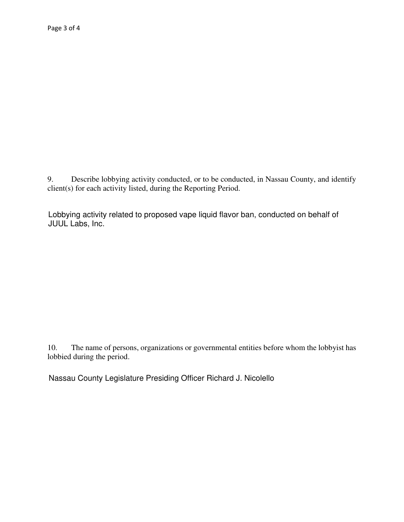Describe lobbying activity conducted, or to be conducted, in Nassau County, and identify 9.  $client(s)$  for each activity listed, during the Reporting Period.

Lobbying activity related to proposed vape liquid flavor ban, conducted on behalf of JUUL Labs, Inc.

The name of persons, organizations or governmental entities before whom the lobbyist has 10. lobbied during the period.

Nassau County Legislature Presiding Officer Richard J. Nicolello